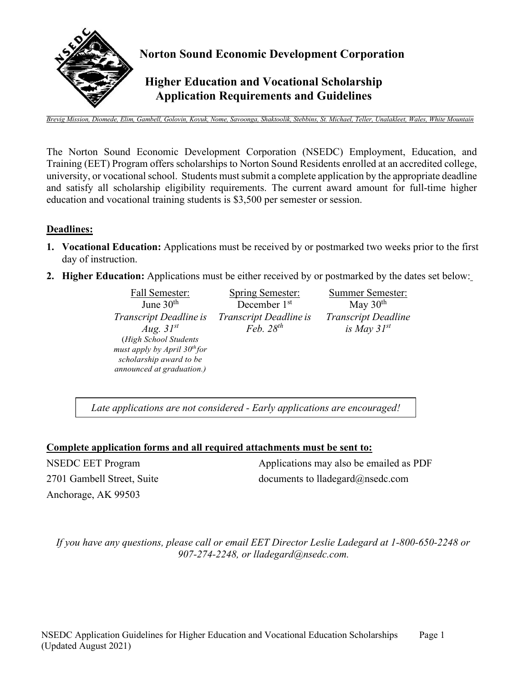

*Brevig Mission, Diomede, Elim, Gambell, Golovin, Koyuk, Nome, Savoonga, Shaktoolik, Stebbins, St. Michael, Teller, Unalakleet, Wales, White Mountain*

The Norton Sound Economic Development Corporation (NSEDC) Employment, Education, and Training (EET) Program offers scholarships to Norton Sound Residents enrolled at an accredited college, university, or vocational school. Students must submit a complete application by the appropriate deadline and satisfy all scholarship eligibility requirements. The current award amount for full-time higher education and vocational training students is \$3,500 per semester or session.

#### **Deadlines:**

- **1. Vocational Education:** Applications must be received by or postmarked two weeks prior to the first day of instruction.
- **2. Higher Education:** Applications must be either received by or postmarked by the dates set below:

June  $30<sup>th</sup>$ *Transcript Deadline is Transcript Deadline is Aug. 31st* (*High School Students must apply by April 30th for scholarship award to be announced at graduation.)*

Fall Semester: Spring Semester: Summer Semester: December 1<sup>st</sup> *Feb. 28th*

May  $30<sup>th</sup>$ *Transcript Deadline is May 31st*

*Late applications are not considered - Early applications are encouraged!* 

#### **Complete application forms and all required attachments must be sent to:**

NSEDC EET Program 2701 Gambell Street, Suite Anchorage, AK 99503

Applications may also be emailed as PDF documents to lladegard@nsedc.com

*If you have any questions, please call or email EET Director Leslie Ladegard at 1-800-650-2248 or 907-274-2248, or lladegard[@nsedc.com](mailto:aomi@nsedc.com).*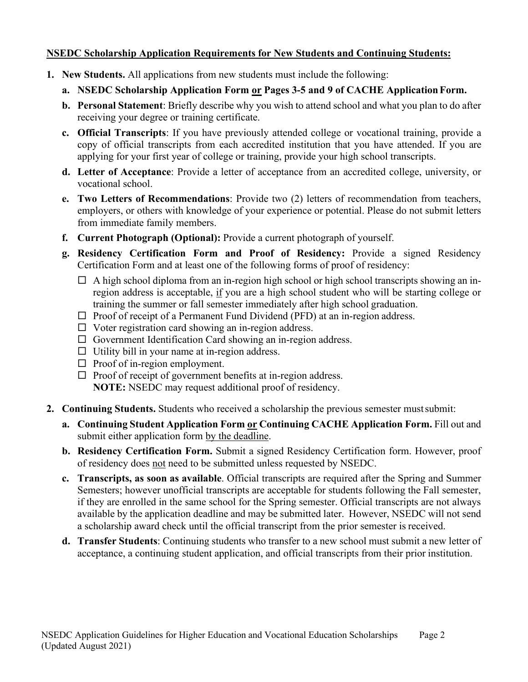### **NSEDC Scholarship Application Requirements for New Students and Continuing Students:**

- **1. New Students.** All applications from new students must include the following:
	- **a. NSEDC Scholarship Application Form or Pages 3-5 and 9 of CACHE Application Form.**
	- **b. Personal Statement**: Briefly describe why you wish to attend school and what you plan to do after receiving your degree or training certificate.
	- **c. Official Transcripts**: If you have previously attended college or vocational training, provide a copy of official transcripts from each accredited institution that you have attended. If you are applying for your first year of college or training, provide your high school transcripts.
	- **d. Letter of Acceptance**: Provide a letter of acceptance from an accredited college, university, or vocational school.
	- **e. Two Letters of Recommendations**: Provide two (2) letters of recommendation from teachers, employers, or others with knowledge of your experience or potential. Please do not submit letters from immediate family members.
	- **f. Current Photograph (Optional):** Provide a current photograph of yourself.
	- **g. Residency Certification Form and Proof of Residency:** Provide a signed Residency Certification Form and at least one of the following forms of proof of residency:
		- $\Box$  A high school diploma from an in-region high school or high school transcripts showing an inregion address is acceptable, if you are a high school student who will be starting college or training the summer or fall semester immediately after high school graduation.
		- $\Box$  Proof of receipt of a Permanent Fund Dividend (PFD) at an in-region address.
		- $\Box$  Voter registration card showing an in-region address.
		- $\Box$  Government Identification Card showing an in-region address.
		- $\Box$  Utility bill in your name at in-region address.
		- $\Box$  Proof of in-region employment.
		- $\Box$  Proof of receipt of government benefits at in-region address. **NOTE:** NSEDC may request additional proof of residency.
- **2. Continuing Students.** Students who received a scholarship the previous semester must submit:
	- **a. Continuing Student Application Form or Continuing CACHE Application Form.** Fill out and submit either application form by the deadline.
	- **b. Residency Certification Form.** Submit a signed Residency Certification form. However, proof of residency does not need to be submitted unless requested by NSEDC.
	- **c. Transcripts, as soon as available**. Official transcripts are required after the Spring and Summer Semesters; however unofficial transcripts are acceptable for students following the Fall semester, if they are enrolled in the same school for the Spring semester. Official transcripts are not always available by the application deadline and may be submitted later. However, NSEDC will not send a scholarship award check until the official transcript from the prior semester is received.
	- **d. Transfer Students**: Continuing students who transfer to a new school must submit a new letter of acceptance, a continuing student application, and official transcripts from their prior institution.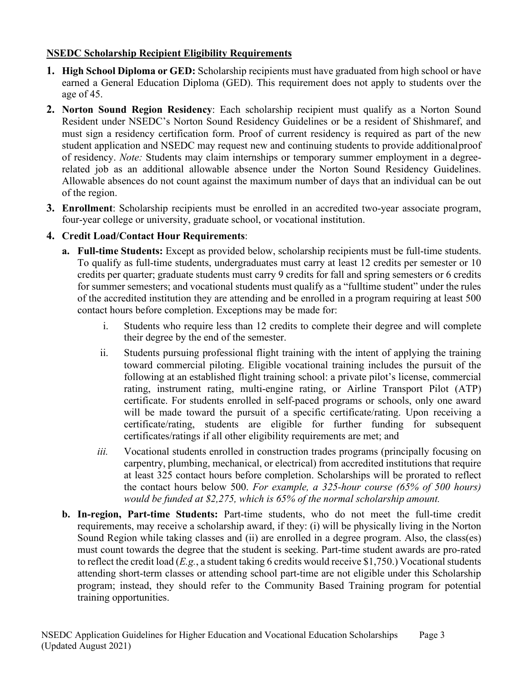## **NSEDC Scholarship Recipient Eligibility Requirements**

- **1. High School Diploma or GED:** Scholarship recipients must have graduated from high school or have earned a General Education Diploma (GED). This requirement does not apply to students over the age of 45.
- **2. Norton Sound Region Residency**: Each scholarship recipient must qualify as a Norton Sound Resident under NSEDC's Norton Sound Residency Guidelines or be a resident of Shishmaref, and must sign a residency certification form. Proof of current residency is required as part of the new student application and NSEDC may request new and continuing students to provide additional proof of residency. *Note:* Students may claim internships or temporary summer employment in a degreerelated job as an additional allowable absence under the Norton Sound Residency Guidelines. Allowable absences do not count against the maximum number of days that an individual can be out of the region.
- **3. Enrollment**: Scholarship recipients must be enrolled in an accredited two-year associate program, four-year college or university, graduate school, or vocational institution.

### **4. Credit Load/Contact Hour Requirements**:

- **a. Full-time Students:** Except as provided below, scholarship recipients must be full-time students. To qualify as full-time students, undergraduates must carry at least 12 credits per semester or 10 credits per quarter; graduate students must carry 9 credits for fall and spring semesters or 6 credits for summer semesters; and vocational students must qualify as a "fulltime student" under the rules of the accredited institution they are attending and be enrolled in a program requiring at least 500 contact hours before completion. Exceptions may be made for:
	- i. Students who require less than 12 credits to complete their degree and will complete their degree by the end of the semester.
	- ii. Students pursuing professional flight training with the intent of applying the training toward commercial piloting. Eligible vocational training includes the pursuit of the following at an established flight training school: a private pilot's license, commercial rating, instrument rating, multi-engine rating, or Airline Transport Pilot (ATP) certificate. For students enrolled in self-paced programs or schools, only one award will be made toward the pursuit of a specific certificate/rating. Upon receiving a certificate/rating, students are eligible for further funding for subsequent certificates/ratings if all other eligibility requirements are met; and
	- *iii.* Vocational students enrolled in construction trades programs (principally focusing on carpentry, plumbing, mechanical, or electrical) from accredited institutions that require at least 325 contact hours before completion. Scholarships will be prorated to reflect the contact hours below 500. *For example, a 325-hour course (65% of 500 hours) would be funded at \$2,275, which is 65% of the normal scholarship amount.*
- **b. In-region, Part-time Students:** Part-time students, who do not meet the full-time credit requirements, may receive a scholarship award, if they: (i) will be physically living in the Norton Sound Region while taking classes and (ii) are enrolled in a degree program. Also, the class(es) must count towards the degree that the student is seeking. Part-time student awards are pro-rated to reflect the credit load (*E.g.*, a student taking 6 credits would receive \$1,750.) Vocational students attending short-term classes or attending school part-time are not eligible under this Scholarship program; instead, they should refer to the Community Based Training program for potential training opportunities.